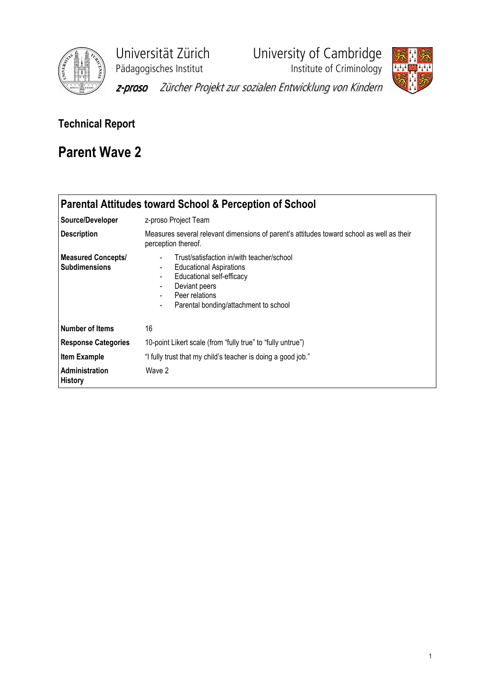

Universität Zürich University of Cambridge





z-proso Zürcher Projekt zur sozialen Entwicklung von Kindern

## Technical Report

# Parent Wave 2

|                                                   | Parental Attitudes toward School & Perception of School                                                                                                                                                                                                                |
|---------------------------------------------------|------------------------------------------------------------------------------------------------------------------------------------------------------------------------------------------------------------------------------------------------------------------------|
| Source/Developer                                  | z-proso Project Team                                                                                                                                                                                                                                                   |
| <b>Description</b>                                | Measures several relevant dimensions of parent's attitudes toward school as well as their<br>perception thereof.                                                                                                                                                       |
| <b>Measured Concepts/</b><br><b>Subdimensions</b> | Trust/satisfaction in/with teacher/school<br>$\blacksquare$<br><b>Educational Aspirations</b><br>$\blacksquare$<br>Educational self-efficacy<br>$\blacksquare$<br>Deviant peers<br>۰<br>Peer relations<br>۰<br>Parental bonding/attachment to school<br>$\blacksquare$ |
| Number of Items                                   | 16                                                                                                                                                                                                                                                                     |
| <b>Response Categories</b>                        | 10-point Likert scale (from "fully true" to "fully untrue")                                                                                                                                                                                                            |
| Item Example                                      | "I fully trust that my child's teacher is doing a good job."                                                                                                                                                                                                           |
| <b>Administration</b><br><b>History</b>           | Wave 2                                                                                                                                                                                                                                                                 |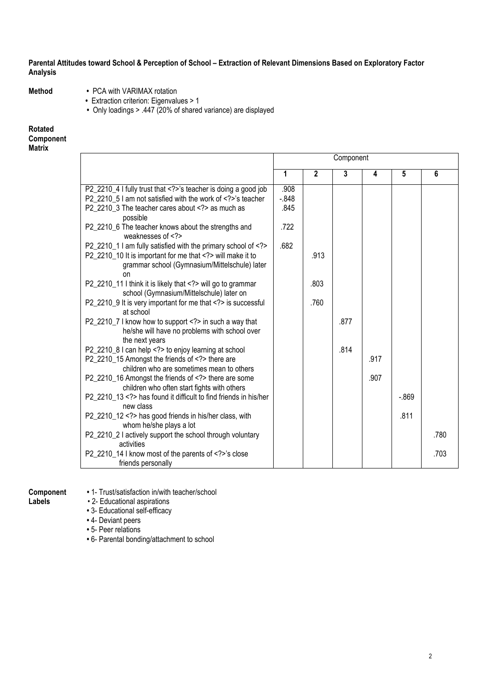### Parental Attitudes toward School & Perception of School – Extraction of Relevant Dimensions Based on Exploratory Factor Analysis

- 
- Method PCA with VARIMAX rotation
	- Extraction criterion: Eigenvalues > 1
	- Only loadings > .447 (20% of shared variance) are displayed

## Rotated Component

#### Matrix

|                                                                                                                       |          |                | Component |      |          |      |
|-----------------------------------------------------------------------------------------------------------------------|----------|----------------|-----------|------|----------|------|
|                                                                                                                       | 1        | $\overline{2}$ | 3         | 4    | 5        | 6    |
| P2_2210_4 I fully trust that 's teacher is doing a good job                                                           | .908     |                |           |      |          |      |
| P2_2210_5 I am not satisfied with the work of 's teacher                                                              | $-0.848$ |                |           |      |          |      |
| P2_2210_3 The teacher cares about as much as<br>possible                                                              | .845     |                |           |      |          |      |
| P2_2210_6 The teacher knows about the strengths and<br>weaknesses of $\langle$ ?>                                     | .722     |                |           |      |          |      |
| P2_2210_1 I am fully satisfied with the primary school of                                                             | .682     |                |           |      |          |      |
| P2 2210 10 It is important for me that will make it to<br>grammar school (Gymnasium/Mittelschule) later<br>on         |          | .913           |           |      |          |      |
| P2_2210_11 I think it is likely that will go to grammar<br>school (Gymnasium/Mittelschule) later on                   |          | .803           |           |      |          |      |
| P2_2210_9 It is very important for me that is successful<br>at school                                                 |          | .760           |           |      |          |      |
| P2_2210_7 I know how to support in such a way that<br>he/she will have no problems with school over<br>the next years |          |                | .877      |      |          |      |
| P2_2210_8 I can help to enjoy learning at school                                                                      |          |                | .814      |      |          |      |
| P2_2210_15 Amongst the friends of there are<br>children who are sometimes mean to others                              |          |                |           | .917 |          |      |
| P2_2210_16 Amongst the friends of there are some<br>children who often start fights with others                       |          |                |           | .907 |          |      |
| P2 2210 13 has found it difficult to find friends in his/her<br>new class                                             |          |                |           |      | $-0.869$ |      |
| P2_2210_12 has good friends in his/her class, with<br>whom he/she plays a lot                                         |          |                |           |      | .811     |      |
| P2_2210_2 I actively support the school through voluntary<br>activities                                               |          |                |           |      |          | .780 |
| P2_2210_14 I know most of the parents of 's close<br>friends personally                                               |          |                |           |      |          | .703 |

- **Component** 1- Trust/satisfaction in/with teacher/school<br>Labels 2- Educational aspirations • 2- Educational aspirations
	- 3- Educational self-efficacy
	- 4- Deviant peers
	- 5- Peer relations
	- 6- Parental bonding/attachment to school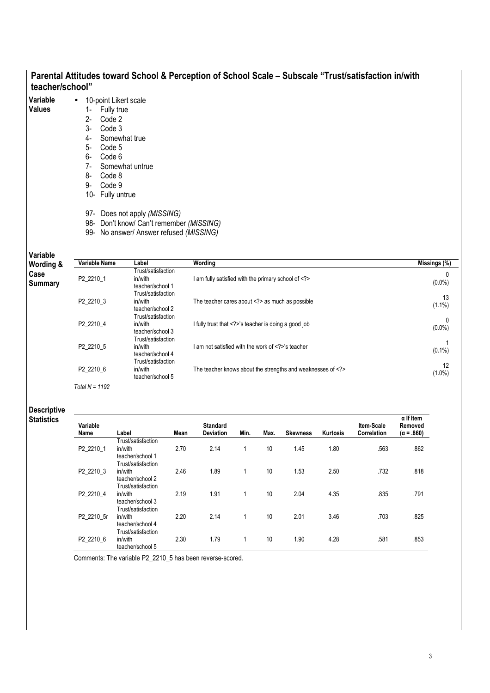| teacher/school"           |                                                                                                                                                                                           |                                                                                                                                        | Parental Attitudes toward School & Perception of School Scale - Subscale "Trust/satisfaction in/with |                           |
|---------------------------|-------------------------------------------------------------------------------------------------------------------------------------------------------------------------------------------|----------------------------------------------------------------------------------------------------------------------------------------|------------------------------------------------------------------------------------------------------|---------------------------|
| Variable<br><b>Values</b> | 10-point Likert scale<br>Fully true<br>Code 2<br>$2 -$<br>Code 3<br>3-<br>Somewhat true<br>4-<br>Code 5<br>5-<br>Code 6<br>6-<br>$7-$<br>8-<br>Code 8<br>Code 9<br>9-<br>10- Fully untrue | Somewhat untrue<br>97- Does not apply (MISSING)<br>98- Don't know/ Can't remember (MISSING)<br>99- No answer/ Answer refused (MISSING) |                                                                                                      |                           |
| Variable<br>Wording &     | Variable Name                                                                                                                                                                             | Label                                                                                                                                  | Wording                                                                                              | Missings (%)              |
| Case<br><b>Summary</b>    | P2_2210_1                                                                                                                                                                                 | Trust/satisfaction<br>in/with<br>teacher/school 1                                                                                      | I am fully satisfied with the primary school of                                                      | $\mathbf{0}$<br>$(0.0\%)$ |
|                           | P2 2210 3                                                                                                                                                                                 | Trust/satisfaction<br>in/with<br>teacher/school 2                                                                                      | The teacher cares about as much as possible                                                          | 13<br>$(1.1\%)$           |
|                           | P2_2210_4                                                                                                                                                                                 | Trust/satisfaction<br>in/with<br>teacher/school 3<br>Trust/satisfaction                                                                | I fully trust that 's teacher is doing a good job                                                    | 0<br>$(0.0\%)$            |
|                           | P2 2210 5                                                                                                                                                                                 | in/with<br>teacher/school 4<br>Trust/satisfaction                                                                                      | I am not satisfied with the work of 's teacher                                                       | $(0.1\%)$                 |
|                           | P2_2210_6                                                                                                                                                                                 | in/with<br>teacher/school 5                                                                                                            | The teacher knows about the strengths and weaknesses of                                              | 12<br>$(1.0\%)$           |
|                           | Total $N = 1192$                                                                                                                                                                          |                                                                                                                                        |                                                                                                      |                           |

Descriptive Statistics

| Variable   |                    |      | <b>Standard</b>  |      |      |                 |                 | Item-Scale  | $\alpha$ If Item<br>Removed |
|------------|--------------------|------|------------------|------|------|-----------------|-----------------|-------------|-----------------------------|
| Name       | Label              | Mean | <b>Deviation</b> | Min. | Max. | <b>Skewness</b> | <b>Kurtosis</b> | Correlation | $(\alpha = .860)$           |
|            | Trust/satisfaction |      |                  |      |      |                 |                 |             |                             |
| P2 2210 1  | in/with            | 2.70 | 2.14             | 1    | 10   | 1.45            | 1.80            | .563        | .862                        |
|            | teacher/school 1   |      |                  |      |      |                 |                 |             |                             |
|            | Trust/satisfaction |      |                  |      |      |                 |                 |             |                             |
| P2 2210 3  | in/with            | 2.46 | 1.89             | 1    | 10   | 1.53            | 2.50            | .732        | .818                        |
|            | teacher/school 2   |      |                  |      |      |                 |                 |             |                             |
|            | Trust/satisfaction |      |                  |      |      |                 |                 |             |                             |
| P2 2210 4  | in/with            | 2.19 | 1.91             | 1    | 10   | 2.04            | 4.35            | .835        | .791                        |
|            | teacher/school 3   |      |                  |      |      |                 |                 |             |                             |
|            | Trust/satisfaction |      |                  |      |      |                 |                 |             |                             |
| P2 2210 5r | in/with            | 2.20 | 2.14             | 1    | 10   | 2.01            | 3.46            | .703        | .825                        |
|            | teacher/school 4   |      |                  |      |      |                 |                 |             |                             |
|            | Trust/satisfaction |      |                  |      |      |                 |                 |             |                             |
| P2 2210 6  | in/with            | 2.30 | 1.79             | 1    | 10   | 1.90            | 4.28            | .581        | .853                        |
|            | teacher/school 5   |      |                  |      |      |                 |                 |             |                             |

Comments: The variable P2\_2210\_5 has been reverse-scored.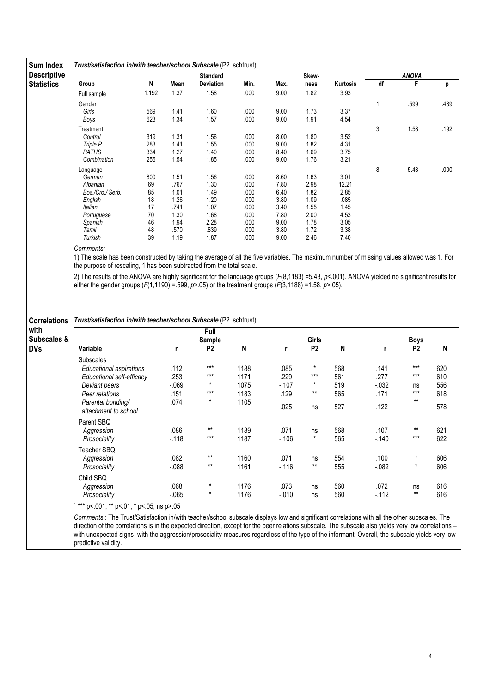| <b>Descriptive</b> |                  |       |      | <b>Standard</b> |      |      | Skew- |          |    | <b>ANOVA</b> |      |
|--------------------|------------------|-------|------|-----------------|------|------|-------|----------|----|--------------|------|
| <b>Statistics</b>  | Group            | N     | Mean | Deviation       | Min. | Max. | ness  | Kurtosis | df | F            | р    |
|                    | Full sample      | 1,192 | 1.37 | 1.58            | .000 | 9.00 | 1.82  | 3.93     |    |              |      |
|                    | Gender           |       |      |                 |      |      |       |          | 1  | .599         | .439 |
|                    | Girls            | 569   | 1.41 | 1.60            | .000 | 9.00 | 1.73  | 3.37     |    |              |      |
|                    | Boys             | 623   | 1.34 | 1.57            | .000 | 9.00 | 1.91  | 4.54     |    |              |      |
|                    | Treatment        |       |      |                 |      |      |       |          | 3  | 1.58         | .192 |
|                    | Control          | 319   | 1.31 | 1.56            | .000 | 8.00 | 1.80  | 3.52     |    |              |      |
|                    | Triple P         | 283   | 1.41 | 1.55            | .000 | 9.00 | 1.82  | 4.31     |    |              |      |
|                    | <b>PATHS</b>     | 334   | 1.27 | 1.40            | .000 | 8.40 | 1.69  | 3.75     |    |              |      |
|                    | Combination      | 256   | 1.54 | 1.85            | .000 | 9.00 | 1.76  | 3.21     |    |              |      |
|                    | Language         |       |      |                 |      |      |       |          | 8  | 5.43         | .000 |
|                    | German           | 800   | 1.51 | 1.56            | .000 | 8.60 | 1.63  | 3.01     |    |              |      |
|                    | Albanian         | 69    | .767 | 1.30            | .000 | 7.80 | 2.98  | 12.21    |    |              |      |
|                    | Bos./Cro./ Serb. | 85    | 1.01 | 1.49            | .000 | 6.40 | 1.82  | 2.85     |    |              |      |
|                    | English          | 18    | 1.26 | 1.20            | .000 | 3.80 | 1.09  | .085     |    |              |      |
|                    | Italian          | 17    | .741 | 1.07            | .000 | 3.40 | 1.55  | 1.45     |    |              |      |
|                    | Portuguese       | 70    | 1.30 | 1.68            | .000 | 7.80 | 2.00  | 4.53     |    |              |      |
|                    | Spanish          | 46    | 1.94 | 2.28            | .000 | 9.00 | 1.78  | 3.05     |    |              |      |
|                    | Tamil            | 48    | .570 | .839            | .000 | 3.80 | 1.72  | 3.38     |    |              |      |
|                    | Turkish          | 39    | 1.19 | 1.87            | .000 | 9.00 | 2.46  | 7.40     |    |              |      |

Comments:

1) The scale has been constructed by taking the average of all the five variables. The maximum number of missing values allowed was 1. For the purpose of rescaling, 1 has been subtracted from the total scale.

2) The results of the ANOVA are highly significant for the language groups (F(8,1183) = 5.43, p < 001). ANOVA yielded no significant results for either the gender groups ( $F(1,1190) = .599$ ,  $p > .05$ ) or the treatment groups ( $F(3,1188) = 1.58$ ,  $p > .05$ ).

#### Correlations Trust/satisfaction in/with teacher/school Subscale (P2\_schtrust)

| with<br><b>Subscales &amp;</b> |                                           |          | Full<br>Sample |      |          | Girls          |     |         | <b>Boys</b>    |     |
|--------------------------------|-------------------------------------------|----------|----------------|------|----------|----------------|-----|---------|----------------|-----|
| <b>DVs</b>                     | Variable                                  |          | P <sub>2</sub> | N    |          | P <sub>2</sub> | N   |         | P <sub>2</sub> | N   |
|                                | <b>Subscales</b>                          |          |                |      |          |                |     |         |                |     |
|                                | Educational aspirations                   | .112     | $***$          | 1188 | .085     | $\star$        | 568 | .141    | $***$          | 620 |
|                                | Educational self-efficacy                 | .253     | $***$          | 1171 | .229     | $***$          | 561 | .277    | $***$          | 610 |
|                                | Deviant peers                             | $-069$   | $\star$        | 1075 | $-.107$  | *              | 519 | $-.032$ | ns             | 556 |
|                                | Peer relations                            | .151     | $***$          | 1183 | .129     | $***$          | 565 | .171    | $***$          | 618 |
|                                | Parental bonding/<br>attachment to school | .074     | $\star$        | 1105 | .025     | ns             | 527 | .122    | $***$          | 578 |
|                                | Parent SBQ                                |          |                |      |          |                |     |         |                |     |
|                                | Aggression                                | .086     | $***$          | 1189 | .071     | ns             | 568 | .107    | $***$          | 621 |
|                                | Prosociality                              | $-118$   | $***$          | 1187 | $-.106$  | $\star$        | 565 | $-.140$ | $***$          | 622 |
|                                | Teacher SBQ                               |          |                |      |          |                |     |         |                |     |
|                                | Aggression                                | .082     | $***$          | 1160 | .071     | ns             | 554 | .100    | $\star$        | 606 |
|                                | Prosociality                              | $-0.088$ | $***$          | 1161 | $-.116$  | $***$          | 555 | $-.082$ | $^\star$       | 606 |
|                                | Child SBQ                                 |          |                |      |          |                |     |         |                |     |
|                                | Aggression                                | .068     | $\star$        | 1176 | .073     | ns             | 560 | .072    | ns             | 616 |
|                                | Prosociality                              | $-065$   | $\star$        | 1176 | $-0.010$ | ns             | 560 | $-112$  | $***$          | 616 |

1 \*\*\* p<.001, \*\* p<.01, \* p<.05, ns p>.05

Comments : The Trust/Satisfaction in/with teacher/school subscale displays low and significant correlations with all the other subscales. The direction of the correlations is in the expected direction, except for the peer relations subscale. The subscale also yields very low correlations – with unexpected signs- with the aggression/prosociality measures regardless of the type of the informant. Overall, the subscale yields very low predictive validity.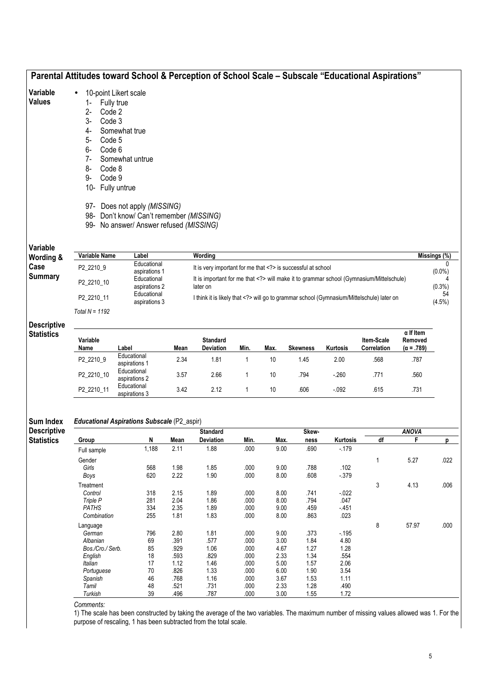|                                         |                                                                                                                               | Parental Attitudes toward School & Perception of School Scale - Subscale "Educational Aspirations"                                                                                                         |      |                                                          |              |      |                 |          |                                                                                       |                              |                           |
|-----------------------------------------|-------------------------------------------------------------------------------------------------------------------------------|------------------------------------------------------------------------------------------------------------------------------------------------------------------------------------------------------------|------|----------------------------------------------------------|--------------|------|-----------------|----------|---------------------------------------------------------------------------------------|------------------------------|---------------------------|
| Variable<br><b>Values</b>               | $2 -$<br>Code 2<br>$3-$<br>Code 3<br>4-<br>5-<br>Code 5<br>6-<br>Code 6<br>$7-$<br>8-<br>Code 8<br>9-<br>Code 9<br>10-<br>98- | 10-point Likert scale<br>Fully true<br>Somewhat true<br>Somewhat untrue<br>Fully untrue<br>97- Does not apply (MISSING)<br>Don't know/ Can't remember (MISSING)<br>99- No answer/ Answer refused (MISSING) |      |                                                          |              |      |                 |          |                                                                                       |                              |                           |
| Variable<br>Wording &                   | Variable Name                                                                                                                 | Label<br>Educational                                                                                                                                                                                       |      | Wording                                                  |              |      |                 |          |                                                                                       |                              | Missings (%)<br>$\Omega$  |
| Case<br><b>Summary</b>                  | P2_2210_9<br>P2 2210 10                                                                                                       | aspirations 1<br>Educational                                                                                                                                                                               |      | It is very important for me that is successful at school |              |      |                 |          | It is important for me that will make it to grammar school (Gymnasium/Mittelschule)   |                              | $(0.0\%)$                 |
|                                         | P2_2210_11                                                                                                                    | aspirations 2<br>Educational<br>aspirations 3                                                                                                                                                              |      | later on                                                 |              |      |                 |          | I think it is likely that will go to grammar school (Gymnasium/Mittelschule) later on |                              | $(0.3\%)$<br>54<br>(4.5%) |
|                                         | Total $N = 1192$                                                                                                              |                                                                                                                                                                                                            |      |                                                          |              |      |                 |          |                                                                                       |                              |                           |
| <b>Descriptive</b><br><b>Statistics</b> |                                                                                                                               |                                                                                                                                                                                                            |      |                                                          |              |      |                 |          |                                                                                       | $\alpha$ If Item             |                           |
|                                         | Variable<br>Name                                                                                                              | Label                                                                                                                                                                                                      | Mean | <b>Standard</b><br><b>Deviation</b>                      | Min.         | Max. | <b>Skewness</b> | Kurtosis | Item-Scale<br>Correlation                                                             | Removed<br>$(\alpha = .789)$ |                           |
|                                         | P2_2210_9                                                                                                                     | Educational<br>aspirations 1                                                                                                                                                                               | 2.34 | 1.81                                                     | $\mathbf{1}$ | 10   | 1.45            | 2.00     | .568                                                                                  | .787                         |                           |
|                                         | P2_2210_10                                                                                                                    | Educational<br>aspirations 2                                                                                                                                                                               | 3.57 | 2.66                                                     | 1            | 10   | .794            | $-260$   | .771                                                                                  | .560                         |                           |
|                                         | P2_2210_11                                                                                                                    | Educational<br>aspirations 3                                                                                                                                                                               | 3.42 | 2.12                                                     | 1            | 10   | .606            | $-0.092$ | .615                                                                                  | .731                         |                           |

#### Sum Index Educational Aspirations Subscale (P2\_aspir)

Descriptive **Statistics** Standard Standard Skew- Skew- Skew- ANOVA Group N Mean Deviation Min. Max. ness Kurtosis df F p Full sample 1,188 2.11 1.88 .000 9.00 .690 -.179 Gender 1 5.27 .022 Girls 568 1.98 1.85 .000 9.00 .788 .102 Boys 620 2.22 1.90 .000 8.00 .608 -.379 Treatment 3 4.13 .006 Control 318 2.15 1.89 .000 8.00 .741 -.022 Triple P 281 2.04 1.86 .000 8.00 .794 .047 PATHS 334 2.35 1.89 .000 9.00 .459 -.451 Combination 255 1.81 1.83 .000 8.00 .863 .023 Language 8 57.97 .000 German 796 2.80 1.81 .000 9.00 .373 -.195 Albanian 69 .391 .577 .000 3.00 1.84 4.80 Bos./Cro./ Serb. 85 .929 1.06 .000 4.67 1.27 1.28 English 18 .593 .829 .000 2.33 1.34 .554 Italian 17 1.12 1.46 .000 5.00 1.57 2.06 Portuguese 70 .826 1.33 .000 6.00 1.90 3.54<br>Spanish 46 .768 1.16 .000 3.67 1.53 1.11 Spanish 46 .768 1.16 .000 3.67 1.53 1.11 Tamil 48 .521 .731 .000 2.33 1.28 .490 Turkish 39 .496 .787 .000 3.00 1.55 1.72

Comments:

1) The scale has been constructed by taking the average of the two variables. The maximum number of missing values allowed was 1. For the purpose of rescaling, 1 has been subtracted from the total scale.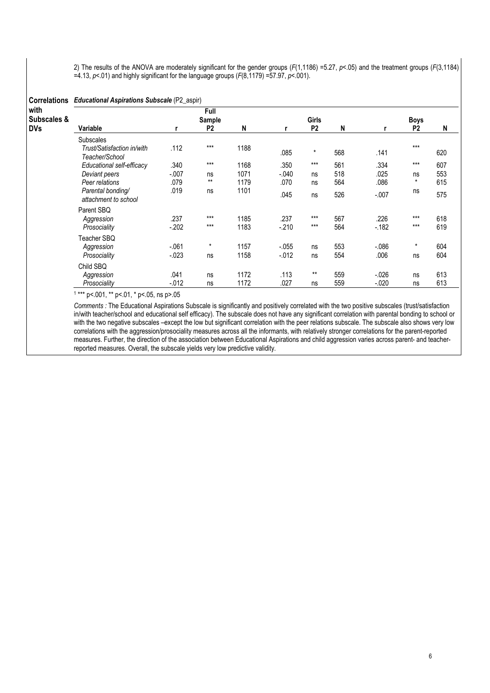2) The results of the ANOVA are moderately significant for the gender groups  $(F(1,1186) = 5.27, p < 0.05)$  and the treatment groups  $(F(3,1184)$ =4.13,  $p$ <.01) and highly significant for the language groups ( $F(8,1179) = 57.97$ ,  $p < 0.001$ ).

| <b>Correlations</b>               | <b>Educational Aspirations Subscale (P2_aspir)</b>               |                   |                                  |              |                     |                                |            |                     |                               |            |  |  |  |
|-----------------------------------|------------------------------------------------------------------|-------------------|----------------------------------|--------------|---------------------|--------------------------------|------------|---------------------|-------------------------------|------------|--|--|--|
| with<br>Subscales &<br><b>DVs</b> | Variable                                                         | r                 | Full<br>Sample<br>P <sub>2</sub> | N            | r                   | <b>Girls</b><br>P <sub>2</sub> | N          |                     | <b>Boys</b><br>P <sub>2</sub> | N          |  |  |  |
|                                   | <b>Subscales</b><br>Trust/Satisfaction in/with<br>Teacher/School | .112              | $***$                            | 1188         | .085                | $^\star$                       | 568        | .141                | $***$                         | 620        |  |  |  |
|                                   | Educational self-efficacy                                        | .340              | $***$                            | 1168         | .350                | $***$                          | 561        | .334                | $***$                         | 607        |  |  |  |
|                                   | Deviant peers<br>Peer relations                                  | $-.007$<br>.079   | ns<br>$***$                      | 1071<br>1179 | $-.040$<br>.070     | ns<br>ns                       | 518<br>564 | .025<br>.086        | ns<br>$\star$                 | 553<br>615 |  |  |  |
|                                   | Parental bonding/<br>attachment to school                        | .019              | ns                               | 1101         | .045                | ns                             | 526        | $-.007$             | ns                            | 575        |  |  |  |
|                                   | Parent SBQ<br>Aggression<br>Prosociality                         | .237<br>$-202$    | $***$<br>$***$                   | 1185<br>1183 | .237<br>$-.210$     | $***$<br>$***$                 | 567<br>564 | .226<br>$-182$      | $***$<br>$***$                | 618<br>619 |  |  |  |
|                                   | Teacher SBQ<br>Aggression<br>Prosociality                        | $-.061$<br>$-023$ | $\star$<br>ns                    | 1157<br>1158 | $-.055$<br>$-0.012$ | ns<br>ns                       | 553<br>554 | $-0.086$<br>.006    | $\star$<br>ns                 | 604<br>604 |  |  |  |
|                                   | Child SBQ<br>Aggression<br>Prosociality                          | .041<br>$-0.012$  | ns<br>ns                         | 1172<br>1172 | .113<br>.027        | $***$<br>ns                    | 559<br>559 | $-0.026$<br>$-.020$ | ns<br>ns                      | 613<br>613 |  |  |  |

1 \*\*\* p<.001, \*\* p<.01, \* p<.05, ns p>.05

Comments : The Educational Aspirations Subscale is significantly and positively correlated with the two positive subscales (trust/satisfaction in/with teacher/school and educational self efficacy). The subscale does not have any significant correlation with parental bonding to school or with the two negative subscales –except the low but significant correlation with the peer relations subscale. The subscale also shows very low correlations with the aggression/prosociality measures across all the informants, with relatively stronger correlations for the parent-reported measures. Further, the direction of the association between Educational Aspirations and child aggression varies across parent- and teacherreported measures. Overall, the subscale yields very low predictive validity.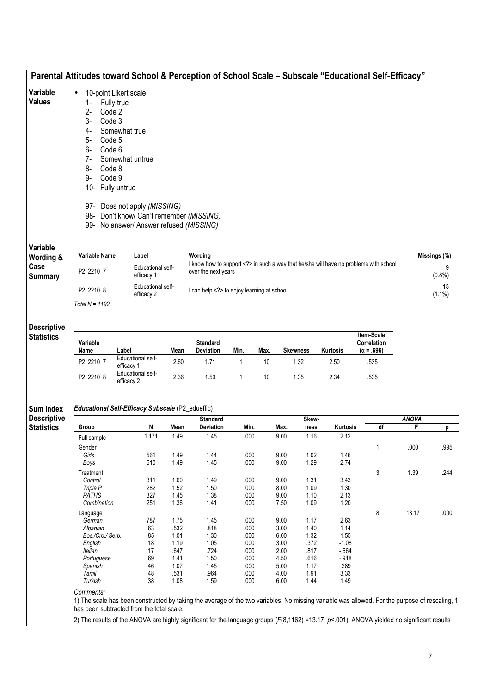|                        |                                                                                                                                                                                              |                                                                                                                                                         | Parental Attitudes toward School & Perception of School Scale - Subscale "Educational Self-Efficacy"     |                 |
|------------------------|----------------------------------------------------------------------------------------------------------------------------------------------------------------------------------------------|---------------------------------------------------------------------------------------------------------------------------------------------------------|----------------------------------------------------------------------------------------------------------|-----------------|
| Variable<br>Values     | 10-point Likert scale<br>$\bullet$<br>Fully true<br>1-<br>Code 2<br>$2 -$<br>3-<br>Code 3<br>4-<br>Code 5<br>5-<br>Code 6<br>6-<br>7-<br>8-<br>Code 8<br>Code 9<br>9-<br>Fully untrue<br>10- | Somewhat true<br>Somewhat untrue<br>97- Does not apply (MISSING)<br>98- Don't know/ Can't remember (MISSING)<br>99- No answer/ Answer refused (MISSING) |                                                                                                          |                 |
| Variable<br>Wording &  | <b>Variable Name</b>                                                                                                                                                                         | Label                                                                                                                                                   | Wordina                                                                                                  | Missings (%)    |
| Case<br><b>Summary</b> | P2_2210_7                                                                                                                                                                                    | Educational self-<br>efficacy 1                                                                                                                         | I know how to support in such a way that he/she will have no problems with school<br>over the next years | 9<br>$(0.8\%)$  |
|                        | P2_2210_8                                                                                                                                                                                    | <b>Educational self-</b><br>efficacy 2                                                                                                                  | I can help to enjoy learning at school                                                                   | 13<br>$(1.1\%)$ |
|                        | Total $N = 1192$                                                                                                                                                                             |                                                                                                                                                         |                                                                                                          |                 |

#### Descriptive Statistics

| Variable<br>Name | Label                           | Mean | <b>Standard</b><br><b>Deviation</b> | Min. | Max. | <b>Skewness</b> | Kurtosis | Item-Scale<br>Correlation<br>$(\alpha = .696)$ |
|------------------|---------------------------------|------|-------------------------------------|------|------|-----------------|----------|------------------------------------------------|
| P2 2210 7        | Educational self-<br>efficacy 1 | 2.60 | 1.71                                |      | 10   | 1.32            | 2.50     | .535                                           |
| P2 2210 8        | Educational self-<br>efficacy 2 | 2.36 | 1.59                                |      | 10   | 1.35            | 2.34     | .535                                           |

#### Sum Index Descript Educational Self-Efficacy Subscale (P2\_edueffic)

| <b>Descriptive</b> |                  |       |      | <b>Standard</b>  |      |      | Skew- |                 |    | <b>ANOVA</b> |      |
|--------------------|------------------|-------|------|------------------|------|------|-------|-----------------|----|--------------|------|
| <b>Statistics</b>  | Group            | N     | Mean | <b>Deviation</b> | Min. | Max. | ness  | <b>Kurtosis</b> | df | F            | р    |
|                    | Full sample      | 1,171 | 1.49 | 1.45             | .000 | 9.00 | 1.16  | 2.12            |    |              |      |
|                    | Gender           |       |      |                  |      |      |       |                 |    | .000         | .995 |
|                    | Girls            | 561   | 1.49 | 1.44             | .000 | 9.00 | 1.02  | 1.46            |    |              |      |
|                    | Boys             | 610   | 1.49 | 1.45             | .000 | 9.00 | 1.29  | 2.74            |    |              |      |
|                    | Treatment        |       |      |                  |      |      |       |                 | 3  | 1.39         | .244 |
|                    | Control          | 311   | 1.60 | 1.49             | .000 | 9.00 | 1.31  | 3.43            |    |              |      |
|                    | Triple P         | 282   | 1.52 | 1.50             | .000 | 8.00 | 1.09  | 1.30            |    |              |      |
|                    | <b>PATHS</b>     | 327   | 1.45 | 1.38             | .000 | 9.00 | 1.10  | 2.13            |    |              |      |
|                    | Combination      | 251   | 1.36 | 1.41             | .000 | 7.50 | 1.09  | 1.20            |    |              |      |
|                    | Language         |       |      |                  |      |      |       |                 | 8  | 13.17        | .000 |
|                    | German           | 787   | 1.75 | 1.45             | .000 | 9.00 | 1.17  | 2.63            |    |              |      |
|                    | Albanian         | 63    | .532 | .818             | .000 | 3.00 | 1.40  | 1.14            |    |              |      |
|                    | Bos./Cro./ Serb. | 85    | 1.01 | 1.30             | .000 | 6.00 | 1.32  | 1.55            |    |              |      |
|                    | English          | 18    | 1.19 | 1.05             | .000 | 3.00 | .372  | $-1.08$         |    |              |      |
|                    | Italian          | 17    | .647 | .724             | .000 | 2.00 | .817  | $-664$          |    |              |      |
|                    | Portuguese       | 69    | 1.41 | 1.50             | .000 | 4.50 | .616  | $-918$          |    |              |      |
|                    | Spanish          | 46    | 1.07 | 1.45             | .000 | 5.00 | 1.17  | .289            |    |              |      |
|                    | Tamil            | 48    | .531 | .964             | .000 | 4.00 | 1.91  | 3.33            |    |              |      |
|                    | Turkish          | 38    | 1.08 | 1.59             | .000 | 6.00 | 1.44  | 1.49            |    |              |      |

Comments:

1) The scale has been constructed by taking the average of the two variables. No missing variable was allowed. For the purpose of rescaling, 1 has been subtracted from the total scale.

2) The results of the ANOVA are highly significant for the language groups (F(8,1162) =13.17, p<.001). ANOVA yielded no significant results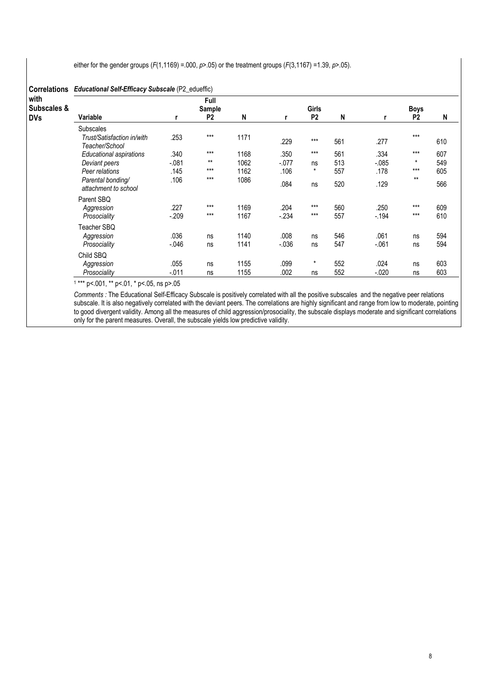either for the gender groups ( $F(1,1169) = 000$ ,  $p > 05$ ) or the treatment groups ( $F(3,1167) = 1.39$ ,  $p > 05$ ).

| <b>Correlations</b>               | <b>Educational Self-Efficacy Subscale (P2_edueffic)</b> |         |                                         |      |         |                         |     |          |                               |     |  |  |  |
|-----------------------------------|---------------------------------------------------------|---------|-----------------------------------------|------|---------|-------------------------|-----|----------|-------------------------------|-----|--|--|--|
| with<br>Subscales &<br><b>DVs</b> | Variable                                                |         | <b>Full</b><br>Sample<br>P <sub>2</sub> | N    | r       | Girls<br>P <sub>2</sub> | N   |          | <b>Boys</b><br>P <sub>2</sub> | N   |  |  |  |
|                                   | <b>Subscales</b>                                        |         |                                         |      |         |                         |     |          |                               |     |  |  |  |
|                                   | Trust/Satisfaction in/with<br>Teacher/School            | .253    | $***$                                   | 1171 | .229    | $***$                   | 561 | .277     | $***$                         | 610 |  |  |  |
|                                   | Educational aspirations                                 | .340    | $***$                                   | 1168 | .350    | $***$                   | 561 | .334     | $***$                         | 607 |  |  |  |
|                                   | Deviant peers                                           | $-.081$ | $***$                                   | 1062 | $-.077$ | ns                      | 513 | $-0.085$ | $\star$                       | 549 |  |  |  |
|                                   | Peer relations                                          | .145    | $***$                                   | 1162 | .106    | $\star$                 | 557 | .178     | $***$                         | 605 |  |  |  |
|                                   | Parental bonding/<br>attachment to school               | .106    | $***$                                   | 1086 | .084    | ns                      | 520 | .129     | $***$                         | 566 |  |  |  |
|                                   | Parent SBQ                                              |         |                                         |      |         |                         |     |          |                               |     |  |  |  |
|                                   | Aggression                                              | .227    | $***$                                   | 1169 | .204    | $***$                   | 560 | .250     | $***$                         | 609 |  |  |  |
|                                   | Prosociality                                            | $-.209$ | $***$                                   | 1167 | $-234$  | $***$                   | 557 | $-.194$  | $***$                         | 610 |  |  |  |
|                                   | Teacher SBQ                                             |         |                                         |      |         |                         |     |          |                               |     |  |  |  |
|                                   | Aggression                                              | .036    | ns                                      | 1140 | .008    | ns                      | 546 | .061     | ns                            | 594 |  |  |  |
|                                   | Prosociality                                            | $-046$  | ns                                      | 1141 | $-0.36$ | ns                      | 547 | $-061$   | ns                            | 594 |  |  |  |
|                                   | Child SBQ                                               |         |                                         |      |         |                         |     |          |                               |     |  |  |  |
|                                   | Aggression                                              | .055    | ns                                      | 1155 | .099    | $\star$                 | 552 | .024     | ns                            | 603 |  |  |  |
|                                   | Prosociality                                            | $-.011$ | ns                                      | 1155 | .002    | ns                      | 552 | $-0.020$ | ns                            | 603 |  |  |  |

1 \*\*\* p<.001, \*\* p<.01, \* p<.05, ns p>.05

Comments : The Educational Self-Efficacy Subscale is positively correlated with all the positive subscales and the negative peer relations subscale. It is also negatively correlated with the deviant peers. The correlations are highly significant and range from low to moderate, pointing to good divergent validity. Among all the measures of child aggression/prosociality, the subscale displays moderate and significant correlations only for the parent measures. Overall, the subscale yields low predictive validity.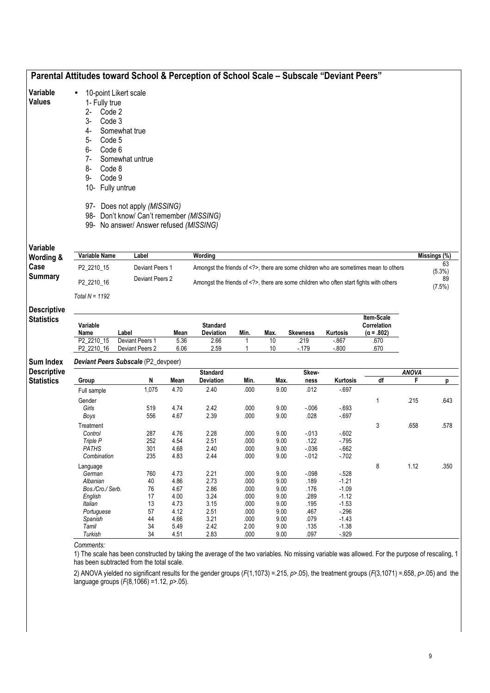| Variable<br><b>Values</b>               | 1- Fully true<br>2-<br>Code 2<br>3-<br>Code 3<br>4-<br>5-<br>Code 5<br>$6-$<br>Code 6<br>$7-$<br>8-<br>Code 8<br>9-<br>Code 9<br>10- | 10-point Likert scale<br>Somewhat true<br>Somewhat untrue<br>Fully untrue<br>97- Does not apply (MISSING)<br>98- Don't know/ Can't remember (MISSING)<br>99- No answer/ Answer refused (MISSING) |              |                                                                                   |              |              |                 |                    |                                                                                     |                   |                        |
|-----------------------------------------|--------------------------------------------------------------------------------------------------------------------------------------|--------------------------------------------------------------------------------------------------------------------------------------------------------------------------------------------------|--------------|-----------------------------------------------------------------------------------|--------------|--------------|-----------------|--------------------|-------------------------------------------------------------------------------------|-------------------|------------------------|
| Variable                                |                                                                                                                                      |                                                                                                                                                                                                  |              |                                                                                   |              |              |                 |                    |                                                                                     |                   |                        |
| Wording &                               | Variable Name                                                                                                                        | Label                                                                                                                                                                                            |              | Wording                                                                           |              |              |                 |                    |                                                                                     |                   | Missings (%)           |
| Case                                    | P2_2210_15                                                                                                                           | Deviant Peers 1                                                                                                                                                                                  |              | Amongst the friends of , there are some children who are sometimes mean to others |              |              |                 |                    |                                                                                     |                   | 63                     |
| <b>Summary</b>                          | P2 2210 16                                                                                                                           | Deviant Peers 2                                                                                                                                                                                  |              |                                                                                   |              |              |                 |                    | Amongst the friends of , there are some children who often start fights with others |                   | (5.3%)<br>89<br>(7.5%) |
|                                         | Total $N = 1192$                                                                                                                     |                                                                                                                                                                                                  |              |                                                                                   |              |              |                 |                    |                                                                                     |                   |                        |
|                                         |                                                                                                                                      |                                                                                                                                                                                                  |              |                                                                                   |              |              |                 |                    |                                                                                     |                   |                        |
| <b>Descriptive</b><br><b>Statistics</b> | Variable<br>Name                                                                                                                     | Label                                                                                                                                                                                            | Mean         | <b>Standard</b><br>Deviation                                                      | Min.         | Max.         | <b>Skewness</b> | Kurtosis           | Item-Scale<br><b>Correlation</b><br>$(\alpha = .802)$                               |                   |                        |
|                                         | P2_2210_15                                                                                                                           | Deviant Peers 1                                                                                                                                                                                  | 5.36         | 2.66                                                                              | 1            | 10           | .219            | $-867$             | .670                                                                                |                   |                        |
|                                         | P2_2210_16                                                                                                                           | Deviant Peers 2                                                                                                                                                                                  | 6.06         | 2.59                                                                              | $\mathbf{1}$ | 10           | $-179$          | $-0.800$           | .670                                                                                |                   |                        |
|                                         |                                                                                                                                      | Deviant Peers Subscale (P2_devpeer)                                                                                                                                                              |              |                                                                                   |              |              |                 |                    |                                                                                     |                   |                        |
| <b>Sum Index</b><br><b>Descriptive</b>  | Group                                                                                                                                | N                                                                                                                                                                                                | Mean         | <b>Standard</b><br><b>Deviation</b>                                               | Min.         | Max.         | Skew-<br>ness   | Kurtosis           | $\overline{df}$                                                                     | <b>ANOVA</b><br>F | p                      |
| <b>Statistics</b>                       | Full sample                                                                                                                          | 1,075                                                                                                                                                                                            | 4.70         | 2.40                                                                              | .000         | 9.00         | .012            | $-697$             |                                                                                     |                   |                        |
|                                         |                                                                                                                                      |                                                                                                                                                                                                  |              |                                                                                   |              |              |                 |                    | $\mathbf{1}$                                                                        |                   |                        |
|                                         | Gender<br>Girls                                                                                                                      | 519                                                                                                                                                                                              | 4.74         | 2.42                                                                              | .000         | 9.00         | $-0.06$         | $-693$             |                                                                                     | .215              | .643                   |
|                                         | Boys                                                                                                                                 | 556                                                                                                                                                                                              | 4.67         | 2.39                                                                              | .000         | 9.00         | .028            | $-697$             |                                                                                     |                   |                        |
|                                         | Treatment                                                                                                                            |                                                                                                                                                                                                  |              |                                                                                   |              |              |                 |                    | 3                                                                                   | .658              | .578                   |
|                                         | Control                                                                                                                              | 287                                                                                                                                                                                              | 4.76         | 2.28                                                                              | .000         | 9.00         | $-013$          | $-602$             |                                                                                     |                   |                        |
|                                         | Triple P                                                                                                                             | 252                                                                                                                                                                                              | 4.54         | 2.51                                                                              | .000         | 9.00         | .122            | $-795$             |                                                                                     |                   |                        |
|                                         | <b>PATHS</b>                                                                                                                         | 301                                                                                                                                                                                              | 4.68         | 2.40                                                                              | .000         | 9.00         | $-0.36$         | $-662$             |                                                                                     |                   |                        |
|                                         | Combination                                                                                                                          | 235                                                                                                                                                                                              | 4.83         | 2.44                                                                              | .000         | 9.00         | $-012$          | $-702$             |                                                                                     |                   |                        |
|                                         | Language                                                                                                                             |                                                                                                                                                                                                  |              |                                                                                   |              |              |                 |                    | 8                                                                                   | 1.12              | .350                   |
|                                         | German<br>Albanian                                                                                                                   | 760<br>40                                                                                                                                                                                        | 4.73<br>4.86 | 2.21<br>2.73                                                                      | .000<br>.000 | 9.00<br>9.00 | $-0.98$<br>.189 | $-528$<br>$-1.21$  |                                                                                     |                   |                        |
|                                         | Bos./Cro./ Serb.                                                                                                                     | 76                                                                                                                                                                                               | 4.67         | 2.86                                                                              | .000         | 9.00         | .176            | $-1.09$            |                                                                                     |                   |                        |
|                                         | English                                                                                                                              | 17                                                                                                                                                                                               | 4.00         | 3.24                                                                              | .000         | 9.00         | .289            | $-1.12$            |                                                                                     |                   |                        |
|                                         | Italian                                                                                                                              | 13                                                                                                                                                                                               | 4.73         | 3.15                                                                              | .000         | 9.00         | .195            | $-1.53$            |                                                                                     |                   |                        |
|                                         | Portuguese                                                                                                                           | 57                                                                                                                                                                                               | 4.12         | 2.51                                                                              | .000         | 9.00         | .467            | $-296$             |                                                                                     |                   |                        |
|                                         | Spanish<br>Tamil                                                                                                                     | 44<br>34                                                                                                                                                                                         | 4.66<br>5.49 | 3.21<br>2.42                                                                      | .000<br>2.00 | 9.00<br>9.00 | .079<br>.135    | $-1.43$<br>$-1.38$ |                                                                                     |                   |                        |

2) ANOVA yielded no significant results for the gender groups (F(1,1073) = 215, p>.05), the treatment groups (F(3,1071) = 658, p>.05) and the language groups (F(8,1066) =1.12, p>.05).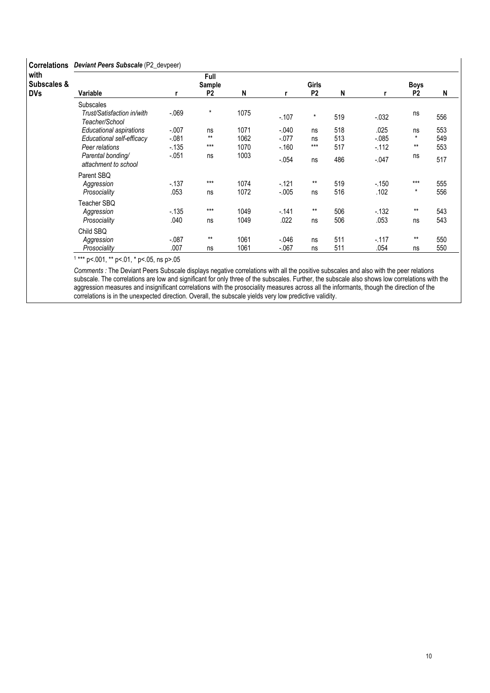| <b>Correlations</b>                          | Deviant Peers Subscale (P2_devpeer)                                           |                              |                                  |                      |                                |                                |                   |                            |                        |                   |  |  |
|----------------------------------------------|-------------------------------------------------------------------------------|------------------------------|----------------------------------|----------------------|--------------------------------|--------------------------------|-------------------|----------------------------|------------------------|-------------------|--|--|
| with<br><b>Subscales &amp;</b><br><b>DVs</b> | Variable                                                                      |                              | Full<br>Sample<br>P <sub>2</sub> | N                    | r                              | <b>Girls</b><br>P <sub>2</sub> | N                 |                            | Boys<br>P <sub>2</sub> | N                 |  |  |
|                                              | <b>Subscales</b><br>Trust/Satisfaction in/with<br>Teacher/School              | $-069$                       | $\star$                          | 1075                 | $-.107$                        | $\star$                        | 519               | $-0.032$                   | ns                     | 556               |  |  |
|                                              | <b>Educational aspirations</b><br>Educational self-efficacy<br>Peer relations | $-.007$<br>$-.081$<br>$-135$ | ns<br>$***$<br>$***$             | 1071<br>1062<br>1070 | $-.040$<br>$-.077$<br>$-0.160$ | ns<br>ns<br>$***$              | 518<br>513<br>517 | .025<br>$-0.085$<br>$-112$ | ns<br>$\star$<br>$***$ | 553<br>549<br>553 |  |  |
|                                              | Parental bonding/<br>attachment to school                                     | $-.051$                      | ns                               | 1003                 | $-.054$                        | ns                             | 486               | $-.047$                    | ns                     | 517               |  |  |
|                                              | Parent SBQ<br>Aggression<br>Prosociality                                      | $-137$<br>.053               | $***$<br>ns                      | 1074<br>1072         | $-121$<br>$-0.005$             | $***$<br>ns                    | 519<br>516        | $-150$<br>.102             | $***$<br>$\star$       | 555<br>556        |  |  |
|                                              | Teacher SBQ<br>Aggression<br>Prosociality                                     | $-135$<br>.040               | $***$<br>ns                      | 1049<br>1049         | $-.141$<br>.022                | $***$<br>ns                    | 506<br>506        | $-132$<br>.053             | $***$<br>ns            | 543<br>543        |  |  |
|                                              | Child SBQ<br>Aggression<br>Prosociality                                       | $-.087$<br>.007              | $***$<br>ns                      | 1061<br>1061         | $-.046$<br>$-.067$             | ns<br>ns                       | 511<br>511        | $-117$<br>.054             | $***$<br>ns            | 550<br>550        |  |  |

1 \*\*\* p<.001, \*\* p<.01, \* p<.05, ns p>.05

Comments : The Deviant Peers Subscale displays negative correlations with all the positive subscales and also with the peer relations subscale. The correlations are low and significant for only three of the subscales. Further, the subscale also shows low correlations with the aggression measures and insignificant correlations with the prosociality measures across all the informants, though the direction of the correlations is in the unexpected direction. Overall, the subscale yields very low predictive validity.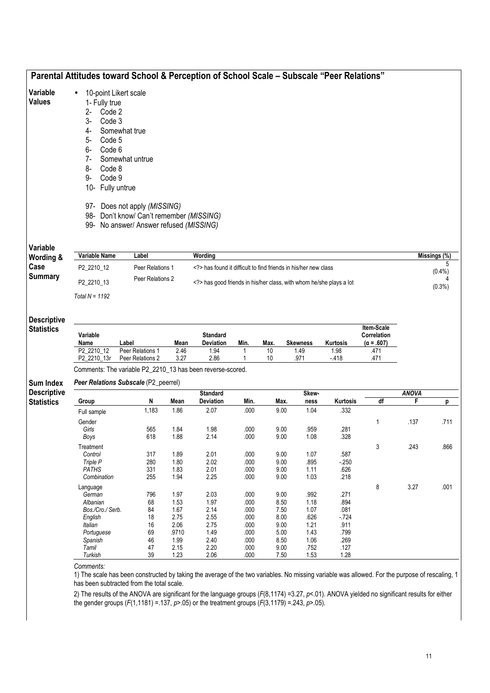| Variable                                             | 10-point Likert scale                                                                                                                                       |                                                                                     |              |                                                                 |              |              |                 |                |                           |                   |              |
|------------------------------------------------------|-------------------------------------------------------------------------------------------------------------------------------------------------------------|-------------------------------------------------------------------------------------|--------------|-----------------------------------------------------------------|--------------|--------------|-----------------|----------------|---------------------------|-------------------|--------------|
| <b>Values</b>                                        | 1- Fully true                                                                                                                                               |                                                                                     |              |                                                                 |              |              |                 |                |                           |                   |              |
|                                                      | 2-<br>Code 2                                                                                                                                                |                                                                                     |              |                                                                 |              |              |                 |                |                           |                   |              |
|                                                      | $3-$<br>Code 3                                                                                                                                              |                                                                                     |              |                                                                 |              |              |                 |                |                           |                   |              |
|                                                      | 4-                                                                                                                                                          | Somewhat true                                                                       |              |                                                                 |              |              |                 |                |                           |                   |              |
|                                                      | 5-<br>Code 5                                                                                                                                                |                                                                                     |              |                                                                 |              |              |                 |                |                           |                   |              |
|                                                      | Code 6<br>6-                                                                                                                                                |                                                                                     |              |                                                                 |              |              |                 |                |                           |                   |              |
|                                                      | $7-$                                                                                                                                                        | Somewhat untrue                                                                     |              |                                                                 |              |              |                 |                |                           |                   |              |
|                                                      | 8-<br>Code 8                                                                                                                                                |                                                                                     |              |                                                                 |              |              |                 |                |                           |                   |              |
|                                                      | Code 9<br>9-                                                                                                                                                |                                                                                     |              |                                                                 |              |              |                 |                |                           |                   |              |
|                                                      | 10- Fully untrue                                                                                                                                            |                                                                                     |              |                                                                 |              |              |                 |                |                           |                   |              |
|                                                      |                                                                                                                                                             | 97- Does not apply (MISSING)                                                        |              |                                                                 |              |              |                 |                |                           |                   |              |
|                                                      |                                                                                                                                                             | 98- Don't know/ Can't remember (MISSING)<br>99- No answer/ Answer refused (MISSING) |              |                                                                 |              |              |                 |                |                           |                   |              |
|                                                      |                                                                                                                                                             |                                                                                     |              |                                                                 |              |              |                 |                |                           |                   |              |
| Variable<br>Wording &                                | Variable Name                                                                                                                                               | Label                                                                               |              | Wording                                                         |              |              |                 |                |                           |                   | Missings (%) |
| Case<br><b>Summary</b>                               | P2_2210_12                                                                                                                                                  | Peer Relations 1<br>Peer Relations 2                                                |              | has found it difficult to find friends in his/her new class     |              |              |                 |                |                           |                   | 5<br>(0.4% ) |
|                                                      | P2_2210_13                                                                                                                                                  |                                                                                     |              | has good friends in his/her class, with whom he/she plays a lot |              |              |                 |                |                           |                   | $(0.3\%)$    |
|                                                      | Total $N = 1192$                                                                                                                                            |                                                                                     |              |                                                                 |              |              |                 |                |                           |                   |              |
| <b>Descriptive</b>                                   |                                                                                                                                                             |                                                                                     |              |                                                                 |              |              |                 |                |                           |                   |              |
|                                                      |                                                                                                                                                             |                                                                                     |              |                                                                 |              |              |                 |                |                           |                   |              |
| <b>Statistics</b>                                    | Variable                                                                                                                                                    |                                                                                     |              | <b>Standard</b>                                                 |              |              |                 |                | Item-Scale<br>Correlation |                   |              |
|                                                      | Name                                                                                                                                                        | Label                                                                               | Mean         | Deviation                                                       | Min.         | Max.         | <b>Skewness</b> | Kurtosis       | $(\alpha = .607)$         |                   |              |
|                                                      | P2_2210_12<br>P2_2210_13r                                                                                                                                   | Peer Relations 1<br>Peer Relations 2                                                | 2.46<br>3.27 | 1.94<br>2.86                                                    | 1            | 10<br>10     | 1.49<br>.971    | 1.98<br>$-418$ | .471<br>.471              |                   |              |
|                                                      | Comments: The variable P2_2210_13 has been reverse-scored.                                                                                                  |                                                                                     |              |                                                                 |              |              |                 |                |                           |                   |              |
|                                                      | Peer Relations Subscale (P2_peerrel)                                                                                                                        |                                                                                     |              |                                                                 |              |              |                 |                |                           |                   |              |
|                                                      | Group                                                                                                                                                       | N                                                                                   | Mean         | <b>Standard</b><br>Deviation                                    | Min.         | Max.         | Skew-<br>ness   | Kurtosis       | df                        | <b>ANOVA</b><br>F | p            |
|                                                      | Full sample                                                                                                                                                 | 1,183                                                                               | 1.86         | 2.07                                                            | .000         | 9.00         | 1.04            | .332           |                           |                   |              |
| Sum Index<br><b>Descriptive</b><br><b>Statistics</b> | Gender                                                                                                                                                      |                                                                                     |              |                                                                 |              |              |                 |                | 1                         | .137              |              |
|                                                      | Girls                                                                                                                                                       | 565                                                                                 | 1.84         | 1.98                                                            | .000         | $9.00\,$     | 959             | .281           |                           |                   | .711         |
|                                                      | Boys                                                                                                                                                        | 618                                                                                 | 1.88         | 2.14                                                            | .000         | 9.00         | 1.08            | .328           |                           |                   |              |
|                                                      | Treatment                                                                                                                                                   |                                                                                     |              |                                                                 |              |              |                 |                | 3                         | .243              |              |
|                                                      | Control<br>Triple P                                                                                                                                         | 317<br>280                                                                          | 1.89<br>1.80 | 2.01<br>2.02                                                    | .000<br>.000 | 9.00<br>9.00 | 1.07<br>.895    | .587<br>$-250$ |                           |                   |              |
|                                                      | <b>PATHS</b>                                                                                                                                                | 331                                                                                 | 1.83         | 2.01                                                            | .000         | 9.00         | 1.11            | .626           |                           |                   |              |
|                                                      | Combination                                                                                                                                                 | 255                                                                                 | 1.94         | 2.25                                                            | .000         | 9.00         | 1.03            | .218           |                           |                   |              |
|                                                      | Language                                                                                                                                                    |                                                                                     |              |                                                                 |              |              |                 |                | 8                         | 3.27              |              |
|                                                      | German                                                                                                                                                      | 796                                                                                 | 1.97         | 2.03                                                            | .000         | 9.00         | .992            | .271           |                           |                   |              |
|                                                      | Albanian                                                                                                                                                    | 68                                                                                  | 1.53         | 1.97                                                            | .000         | 8.50         | 1.18            | .894           |                           |                   |              |
|                                                      | Bos./Cro./ Serb.                                                                                                                                            | 84                                                                                  | 1.67         | 2.14                                                            | .000         | 7.50         | 1.07            | .081           |                           |                   |              |
|                                                      | English<br>Italian                                                                                                                                          | 18<br>16                                                                            | 2.75<br>2.06 | 2.55<br>2.75                                                    | .000<br>.000 | 8.00<br>9.00 | .626<br>1.21    | $-724$         |                           |                   |              |
|                                                      | Portuguese                                                                                                                                                  | 69                                                                                  | .9710        | 1.49                                                            | .000         | 5.00         | 1.43            | .911<br>.799   |                           |                   |              |
|                                                      | Spanish                                                                                                                                                     | 46                                                                                  | 1.99         | 2.40                                                            | .000         | 8.50         | 1.06            | .269           |                           |                   |              |
|                                                      | Tamil                                                                                                                                                       | 47                                                                                  | 2.15         | 2.20                                                            | .000         | 9.00         | .752            | .127           |                           |                   |              |
|                                                      | Turkish                                                                                                                                                     | 39                                                                                  | 1.23         | 2.06                                                            | .000         | 7.50         | 1.53            | 1.28           |                           |                   | .866<br>.001 |
|                                                      | Comments:<br>1) The scale has been constructed by taking the average of the two variables. No missing variable was allowed. For the purpose of rescaling, 1 |                                                                                     |              |                                                                 |              |              |                 |                |                           |                   |              |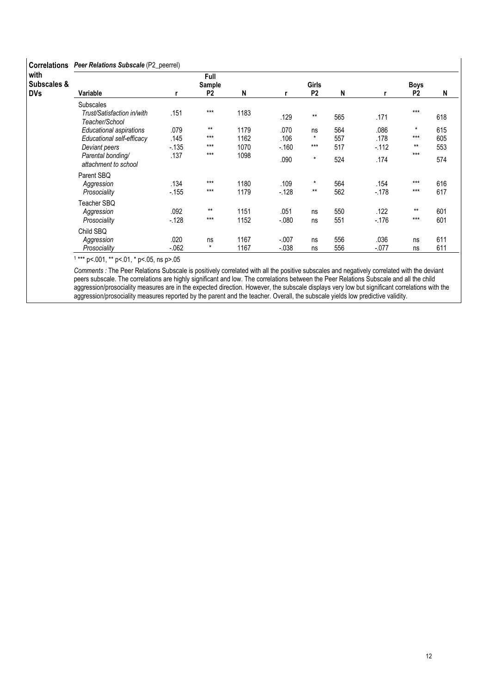| <b>Correlations</b>               | Peer Relations Subscale (P2_peerrel)                                                                                      |                                |                                  |                              |                                |                                   |                          |                                  |                                    |                          |  |  |
|-----------------------------------|---------------------------------------------------------------------------------------------------------------------------|--------------------------------|----------------------------------|------------------------------|--------------------------------|-----------------------------------|--------------------------|----------------------------------|------------------------------------|--------------------------|--|--|
| with<br>Subscales &<br><b>DVs</b> | Variable                                                                                                                  |                                | Full<br>Sample<br>P <sub>2</sub> | N                            | r                              | <b>Girls</b><br>P <sub>2</sub>    | N                        | r                                | <b>Boys</b><br>P <sub>2</sub>      | N                        |  |  |
|                                   | <b>Subscales</b><br>Trust/Satisfaction in/with<br>Teacher/School                                                          | .151                           | $***$                            | 1183                         | .129                           | $***$                             | 565                      | .171                             | $***$                              | 618                      |  |  |
|                                   | <b>Educational aspirations</b><br>Educational self-efficacy<br>Deviant peers<br>Parental bonding/<br>attachment to school | .079<br>.145<br>$-135$<br>.137 | $***$<br>$***$<br>$***$<br>$***$ | 1179<br>1162<br>1070<br>1098 | .070<br>.106<br>$-160$<br>.090 | ns<br>$\star$<br>$***$<br>$\star$ | 564<br>557<br>517<br>524 | .086<br>.178<br>$-0.112$<br>.174 | $\star$<br>$***$<br>$***$<br>$***$ | 615<br>605<br>553<br>574 |  |  |
|                                   | Parent SBQ<br>Aggression<br>Prosociality<br>Teacher SBQ                                                                   | .134<br>$-155$                 | $***$<br>$***$                   | 1180<br>1179                 | .109<br>$-128$                 | $\star$<br>$***$                  | 564<br>562               | .154<br>$-178$                   | $***$<br>$***$                     | 616<br>617               |  |  |
|                                   | Aggression<br>Prosociality                                                                                                | .092<br>$-128$                 | $***$<br>$***$                   | 1151<br>1152                 | .051<br>$-.080$                | ns<br>ns                          | 550<br>551               | .122<br>$-.176$                  | $***$<br>$***$                     | 601<br>601               |  |  |
|                                   | Child SBO<br>Aggression<br>Prosociality                                                                                   | .020<br>$-062$                 | ns<br>$\star$                    | 1167<br>1167                 | $-.007$<br>$-0.038$            | ns<br>ns                          | 556<br>556               | .036<br>$-.077$                  | ns<br>ns                           | 611<br>611               |  |  |

1 \*\*\* p<.001, \*\* p<.01, \* p<.05, ns p>.05

Comments : The Peer Relations Subscale is positively correlated with all the positive subscales and negatively correlated with the deviant peers subscale. The correlations are highly significant and low. The correlations between the Peer Relations Subscale and all the child aggression/prosociality measures are in the expected direction. However, the subscale displays very low but significant correlations with the aggression/prosociality measures reported by the parent and the teacher. Overall, the subscale yields low predictive validity.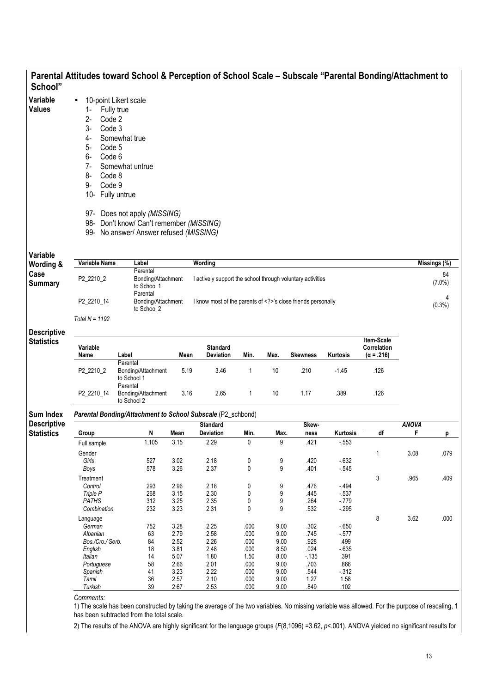|                       |                     | Parental Attitudes toward School & Perception of School Scale - Subscale "Parental Bonding/Attachment to |              |                                                            |                      |              |                 |                  |                                  |              |              |
|-----------------------|---------------------|----------------------------------------------------------------------------------------------------------|--------------|------------------------------------------------------------|----------------------|--------------|-----------------|------------------|----------------------------------|--------------|--------------|
| School"               |                     |                                                                                                          |              |                                                            |                      |              |                 |                  |                                  |              |              |
| Variable              | $\bullet$           | 10-point Likert scale                                                                                    |              |                                                            |                      |              |                 |                  |                                  |              |              |
| <b>Values</b>         | 1-<br>Fully true    |                                                                                                          |              |                                                            |                      |              |                 |                  |                                  |              |              |
|                       | Code 2<br>$2 -$     |                                                                                                          |              |                                                            |                      |              |                 |                  |                                  |              |              |
|                       | 3-<br>Code 3        |                                                                                                          |              |                                                            |                      |              |                 |                  |                                  |              |              |
|                       |                     |                                                                                                          |              |                                                            |                      |              |                 |                  |                                  |              |              |
|                       | 4-                  | Somewhat true                                                                                            |              |                                                            |                      |              |                 |                  |                                  |              |              |
|                       | 5-<br>Code 5        |                                                                                                          |              |                                                            |                      |              |                 |                  |                                  |              |              |
|                       | Code 6<br>6-        |                                                                                                          |              |                                                            |                      |              |                 |                  |                                  |              |              |
|                       | $7-$                | Somewhat untrue                                                                                          |              |                                                            |                      |              |                 |                  |                                  |              |              |
|                       | 8-<br>Code 8        |                                                                                                          |              |                                                            |                      |              |                 |                  |                                  |              |              |
|                       | Code 9<br>9-        |                                                                                                          |              |                                                            |                      |              |                 |                  |                                  |              |              |
|                       | 10- Fully untrue    |                                                                                                          |              |                                                            |                      |              |                 |                  |                                  |              |              |
|                       |                     |                                                                                                          |              |                                                            |                      |              |                 |                  |                                  |              |              |
|                       |                     | 97- Does not apply (MISSING)                                                                             |              |                                                            |                      |              |                 |                  |                                  |              |              |
|                       |                     | 98- Don't know/ Can't remember (MISSING)                                                                 |              |                                                            |                      |              |                 |                  |                                  |              |              |
|                       |                     | 99- No answer/ Answer refused (MISSING)                                                                  |              |                                                            |                      |              |                 |                  |                                  |              |              |
|                       |                     |                                                                                                          |              |                                                            |                      |              |                 |                  |                                  |              |              |
| Variable<br>Wording & | Variable Name       | Label                                                                                                    |              | Wording                                                    |                      |              |                 |                  |                                  |              | Missings (%) |
| Case                  |                     | Parental                                                                                                 |              |                                                            |                      |              |                 |                  |                                  |              | 84           |
| <b>Summary</b>        | P2_2210_2           | Bonding/Attachment<br>to School 1                                                                        |              | I actively support the school through voluntary activities |                      |              |                 |                  |                                  |              | $(7.0\%)$    |
|                       |                     | Parental                                                                                                 |              |                                                            |                      |              |                 |                  |                                  |              |              |
|                       | P2_2210_14          | Bonding/Attachment                                                                                       |              | I know most of the parents of 's close friends personally  |                      |              |                 |                  |                                  |              | 4<br>(0.3%)  |
|                       | Total $N = 1192$    | to School 2                                                                                              |              |                                                            |                      |              |                 |                  |                                  |              |              |
| <b>Descriptive</b>    |                     |                                                                                                          |              |                                                            |                      |              |                 |                  |                                  |              |              |
| <b>Statistics</b>     |                     |                                                                                                          |              |                                                            |                      |              |                 |                  | Item-Scale                       |              |              |
|                       | Variable<br>Name    | Label                                                                                                    | Mean         | <b>Standard</b><br>Deviation                               | Min.                 | Max.         | <b>Skewness</b> | Kurtosis         | Correlation<br>$(\alpha = .216)$ |              |              |
|                       |                     | Parental                                                                                                 |              |                                                            |                      |              |                 |                  |                                  |              |              |
|                       | P2_2210_2           | Bonding/Attachment                                                                                       | 5.19         | 3.46                                                       | 1                    | 10           | .210            | $-1.45$          | .126                             |              |              |
|                       |                     | to School 1<br>Parental                                                                                  |              |                                                            |                      |              |                 |                  |                                  |              |              |
|                       | P2_2210_14          | Bonding/Attachment                                                                                       | 3.16         | 2.65                                                       | $\mathbf{1}$         | 10           | 1.17            | .389             | .126                             |              |              |
|                       |                     | to School 2                                                                                              |              |                                                            |                      |              |                 |                  |                                  |              |              |
| Sum Index             |                     | Parental Bonding/Attachment to School Subscale (P2_schbond)                                              |              |                                                            |                      |              |                 |                  |                                  |              |              |
| <b>Descriptive</b>    |                     |                                                                                                          |              | <b>Standard</b>                                            |                      |              | Skew-           |                  |                                  | <b>ANOVA</b> |              |
| <b>Statistics</b>     | Group               | N                                                                                                        | Mean         | Deviation                                                  | Min.<br>$\mathbf{0}$ | Max.         | ness            | Kurtosis         | $\overline{df}$                  | F.           | р            |
|                       | Full sample         | 1,105                                                                                                    | 3.15         | 2.29                                                       |                      | 9            | .421            | $-553$           |                                  |              |              |
|                       | Gender              |                                                                                                          |              |                                                            |                      |              |                 |                  | 1                                | 3.08         | .079         |
|                       | Girls               | 527                                                                                                      | 3.02         | 2.18                                                       | 0                    | 9            | .420            | $-632$           |                                  |              |              |
|                       | Boys                | 578                                                                                                      | 3.26         | 2.37                                                       | 0                    | 9            | .401            | $-545$           |                                  |              |              |
|                       | Treatment           |                                                                                                          |              |                                                            |                      |              |                 |                  | 3                                | .965         | .409         |
|                       | Control<br>Triple P | 293<br>268                                                                                               | 2.96<br>3.15 | 2.18<br>2.30                                               | 0<br>0               | 9<br>9       | .476<br>.445    | $-494$<br>$-537$ |                                  |              |              |
|                       | <b>PATHS</b>        | 312                                                                                                      | 3.25         | 2.35                                                       | 0                    | 9            | .264            | $-779$           |                                  |              |              |
|                       | Combination         | 232                                                                                                      | 3.23         | 2.31                                                       | 0                    | 9            | .532            | $-295$           |                                  |              |              |
|                       | Language            |                                                                                                          |              |                                                            |                      |              |                 |                  | 8                                | 3.62         | .000         |
|                       | German              | 752                                                                                                      | 3.28         | 2.25                                                       | .000                 | 9.00         | .302            | $-650$           |                                  |              |              |
|                       |                     | 63                                                                                                       | 2.79         | 2.58                                                       | .000                 | 9.00         | .745            | $-577$           |                                  |              |              |
|                       | Albanian            |                                                                                                          | 2.52         | 2.26                                                       | .000                 | 9.00         | .928            | .499             |                                  |              |              |
|                       | Bos./Cro./ Serb.    | 84                                                                                                       |              |                                                            | .000                 | 8.50         | .024            | $-635$           |                                  |              |              |
|                       | English             | 18                                                                                                       | 3.81         | 2.48                                                       |                      |              |                 |                  |                                  |              |              |
|                       | Italian             | 14                                                                                                       | 5.07         | 1.80                                                       | 1.50                 | 8.00         | $-135$          | .391             |                                  |              |              |
|                       | Portuguese          | 58                                                                                                       | 2.66         | 2.01                                                       | .000                 | 9.00         | .703            | .866             |                                  |              |              |
|                       | Spanish             | 41                                                                                                       | 3.23         | 2.22                                                       | .000                 | 9.00         | .544            | $-312$           |                                  |              |              |
|                       | Tamil<br>Turkish    | 36<br>39                                                                                                 | 2.57<br>2.67 | 2.10<br>2.53                                               | .000<br>.000         | 9.00<br>9.00 | 1.27<br>.849    | 1.58<br>.102     |                                  |              |              |

has been subtracted from the total scale.

2) The results of the ANOVA are highly significant for the language groups (F(8,1096) =3.62, p<.001). ANOVA yielded no significant results for